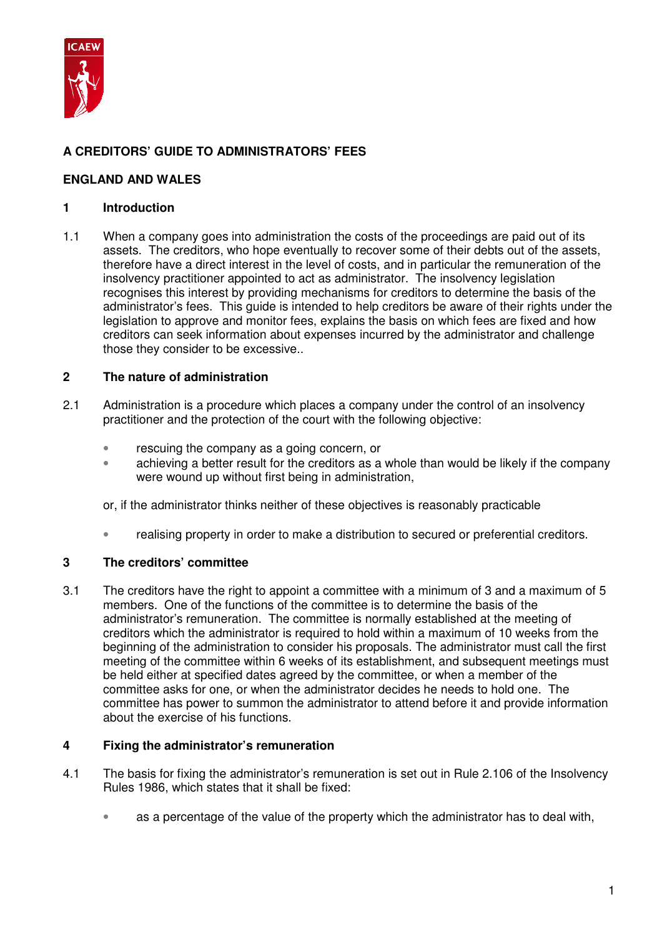

# **A CREDITORS' GUIDE TO ADMINISTRATORS' FEES**

## **ENGLAND AND WALES**

## **1 Introduction**

1.1 When a company goes into administration the costs of the proceedings are paid out of its assets. The creditors, who hope eventually to recover some of their debts out of the assets, therefore have a direct interest in the level of costs, and in particular the remuneration of the insolvency practitioner appointed to act as administrator. The insolvency legislation recognises this interest by providing mechanisms for creditors to determine the basis of the administrator's fees. This guide is intended to help creditors be aware of their rights under the legislation to approve and monitor fees, explains the basis on which fees are fixed and how creditors can seek information about expenses incurred by the administrator and challenge those they consider to be excessive..

## **2 The nature of administration**

- 2.1 Administration is a procedure which places a company under the control of an insolvency practitioner and the protection of the court with the following objective:
	- rescuing the company as a going concern, or
	- achieving a better result for the creditors as a whole than would be likely if the company were wound up without first being in administration,

or, if the administrator thinks neither of these objectives is reasonably practicable

• realising property in order to make a distribution to secured or preferential creditors.

## **3 The creditors' committee**

3.1 The creditors have the right to appoint a committee with a minimum of 3 and a maximum of 5 members. One of the functions of the committee is to determine the basis of the administrator's remuneration. The committee is normally established at the meeting of creditors which the administrator is required to hold within a maximum of 10 weeks from the beginning of the administration to consider his proposals. The administrator must call the first meeting of the committee within 6 weeks of its establishment, and subsequent meetings must be held either at specified dates agreed by the committee, or when a member of the committee asks for one, or when the administrator decides he needs to hold one. The committee has power to summon the administrator to attend before it and provide information about the exercise of his functions.

## **4 Fixing the administrator's remuneration**

- 4.1 The basis for fixing the administrator's remuneration is set out in Rule 2.106 of the Insolvency Rules 1986, which states that it shall be fixed:
	- as a percentage of the value of the property which the administrator has to deal with,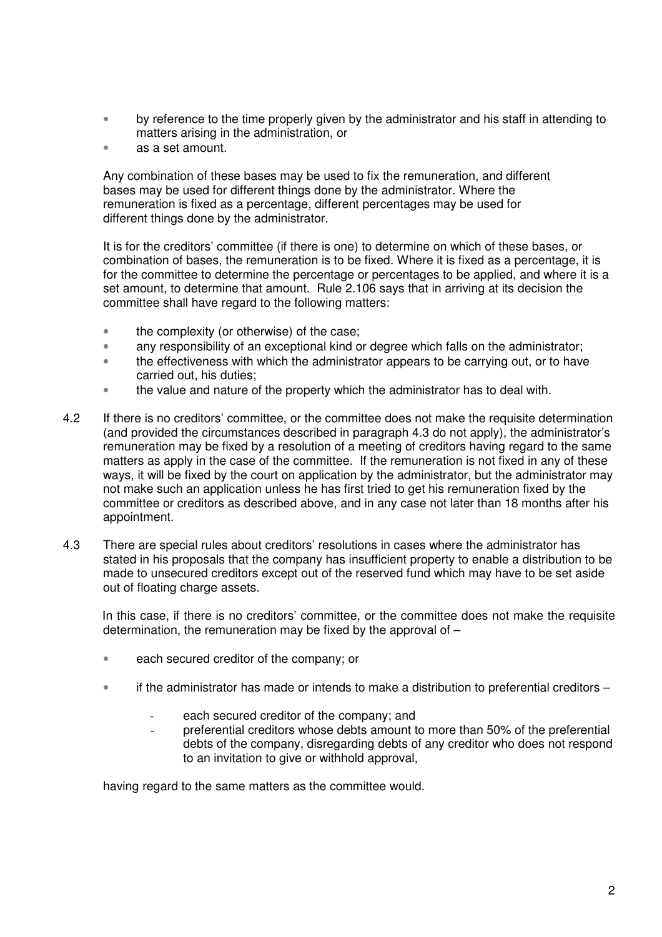- by reference to the time properly given by the administrator and his staff in attending to matters arising in the administration, or
- as a set amount.

Any combination of these bases may be used to fix the remuneration, and different bases may be used for different things done by the administrator. Where the remuneration is fixed as a percentage, different percentages may be used for different things done by the administrator.

 It is for the creditors' committee (if there is one) to determine on which of these bases, or combination of bases, the remuneration is to be fixed. Where it is fixed as a percentage, it is for the committee to determine the percentage or percentages to be applied, and where it is a set amount, to determine that amount. Rule 2.106 says that in arriving at its decision the committee shall have regard to the following matters:

- the complexity (or otherwise) of the case;
- any responsibility of an exceptional kind or degree which falls on the administrator;
- the effectiveness with which the administrator appears to be carrying out, or to have carried out, his duties;
- the value and nature of the property which the administrator has to deal with.
- 4.2 If there is no creditors' committee, or the committee does not make the requisite determination (and provided the circumstances described in paragraph 4.3 do not apply), the administrator's remuneration may be fixed by a resolution of a meeting of creditors having regard to the same matters as apply in the case of the committee. If the remuneration is not fixed in any of these ways, it will be fixed by the court on application by the administrator, but the administrator may not make such an application unless he has first tried to get his remuneration fixed by the committee or creditors as described above, and in any case not later than 18 months after his appointment.
- 4.3 There are special rules about creditors' resolutions in cases where the administrator has stated in his proposals that the company has insufficient property to enable a distribution to be made to unsecured creditors except out of the reserved fund which may have to be set aside out of floating charge assets.

In this case, if there is no creditors' committee, or the committee does not make the requisite determination, the remuneration may be fixed by the approval of –

- each secured creditor of the company; or
- if the administrator has made or intends to make a distribution to preferential creditors
	- each secured creditor of the company; and
	- preferential creditors whose debts amount to more than 50% of the preferential debts of the company, disregarding debts of any creditor who does not respond to an invitation to give or withhold approval,

having regard to the same matters as the committee would.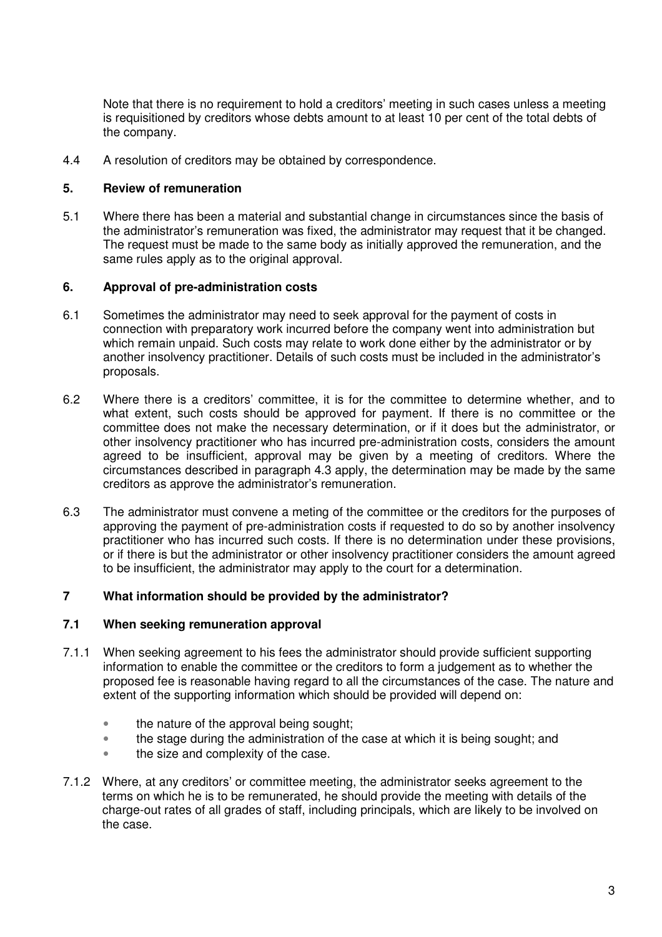Note that there is no requirement to hold a creditors' meeting in such cases unless a meeting is requisitioned by creditors whose debts amount to at least 10 per cent of the total debts of the company.

4.4 A resolution of creditors may be obtained by correspondence.

### **5. Review of remuneration**

5.1 Where there has been a material and substantial change in circumstances since the basis of the administrator's remuneration was fixed, the administrator may request that it be changed. The request must be made to the same body as initially approved the remuneration, and the same rules apply as to the original approval.

## **6. Approval of pre-administration costs**

- 6.1 Sometimes the administrator may need to seek approval for the payment of costs in connection with preparatory work incurred before the company went into administration but which remain unpaid. Such costs may relate to work done either by the administrator or by another insolvency practitioner. Details of such costs must be included in the administrator's proposals.
- 6.2 Where there is a creditors' committee, it is for the committee to determine whether, and to what extent, such costs should be approved for payment. If there is no committee or the committee does not make the necessary determination, or if it does but the administrator, or other insolvency practitioner who has incurred pre-administration costs, considers the amount agreed to be insufficient, approval may be given by a meeting of creditors. Where the circumstances described in paragraph 4.3 apply, the determination may be made by the same creditors as approve the administrator's remuneration.
- 6.3 The administrator must convene a meting of the committee or the creditors for the purposes of approving the payment of pre-administration costs if requested to do so by another insolvency practitioner who has incurred such costs. If there is no determination under these provisions, or if there is but the administrator or other insolvency practitioner considers the amount agreed to be insufficient, the administrator may apply to the court for a determination.

## **7 What information should be provided by the administrator?**

#### **7.1 When seeking remuneration approval**

- 7.1.1 When seeking agreement to his fees the administrator should provide sufficient supporting information to enable the committee or the creditors to form a judgement as to whether the proposed fee is reasonable having regard to all the circumstances of the case. The nature and extent of the supporting information which should be provided will depend on:
	- the nature of the approval being sought;
	- the stage during the administration of the case at which it is being sought; and
	- the size and complexity of the case.
- 7.1.2 Where, at any creditors' or committee meeting, the administrator seeks agreement to the terms on which he is to be remunerated, he should provide the meeting with details of the charge-out rates of all grades of staff, including principals, which are likely to be involved on the case.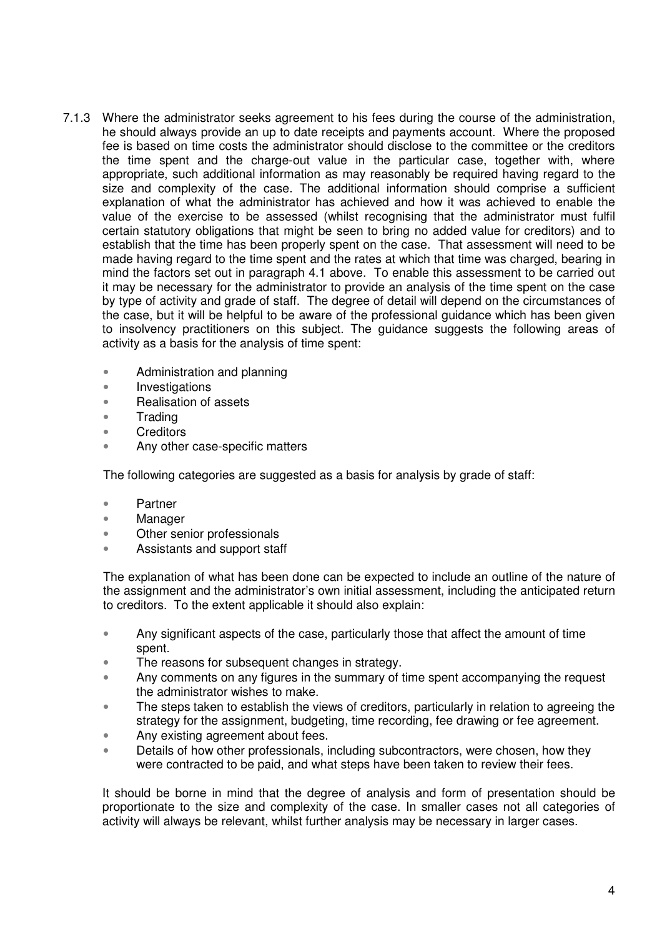- 7.1.3 Where the administrator seeks agreement to his fees during the course of the administration, he should always provide an up to date receipts and payments account. Where the proposed fee is based on time costs the administrator should disclose to the committee or the creditors the time spent and the charge-out value in the particular case, together with, where appropriate, such additional information as may reasonably be required having regard to the size and complexity of the case. The additional information should comprise a sufficient explanation of what the administrator has achieved and how it was achieved to enable the value of the exercise to be assessed (whilst recognising that the administrator must fulfil certain statutory obligations that might be seen to bring no added value for creditors) and to establish that the time has been properly spent on the case. That assessment will need to be made having regard to the time spent and the rates at which that time was charged, bearing in mind the factors set out in paragraph 4.1 above. To enable this assessment to be carried out it may be necessary for the administrator to provide an analysis of the time spent on the case by type of activity and grade of staff. The degree of detail will depend on the circumstances of the case, but it will be helpful to be aware of the professional guidance which has been given to insolvency practitioners on this subject. The guidance suggests the following areas of activity as a basis for the analysis of time spent:
	- Administration and planning
	- Investigations
	- Realisation of assets
	- Trading
	- Creditors
	- Any other case-specific matters

The following categories are suggested as a basis for analysis by grade of staff:

- Partner
- Manager
- Other senior professionals
- Assistants and support staff

The explanation of what has been done can be expected to include an outline of the nature of the assignment and the administrator's own initial assessment, including the anticipated return to creditors. To the extent applicable it should also explain:

- Any significant aspects of the case, particularly those that affect the amount of time spent.
- The reasons for subsequent changes in strategy.
- Any comments on any figures in the summary of time spent accompanying the request the administrator wishes to make.
- The steps taken to establish the views of creditors, particularly in relation to agreeing the strategy for the assignment, budgeting, time recording, fee drawing or fee agreement.
- Any existing agreement about fees.
- Details of how other professionals, including subcontractors, were chosen, how they were contracted to be paid, and what steps have been taken to review their fees.

It should be borne in mind that the degree of analysis and form of presentation should be proportionate to the size and complexity of the case. In smaller cases not all categories of activity will always be relevant, whilst further analysis may be necessary in larger cases.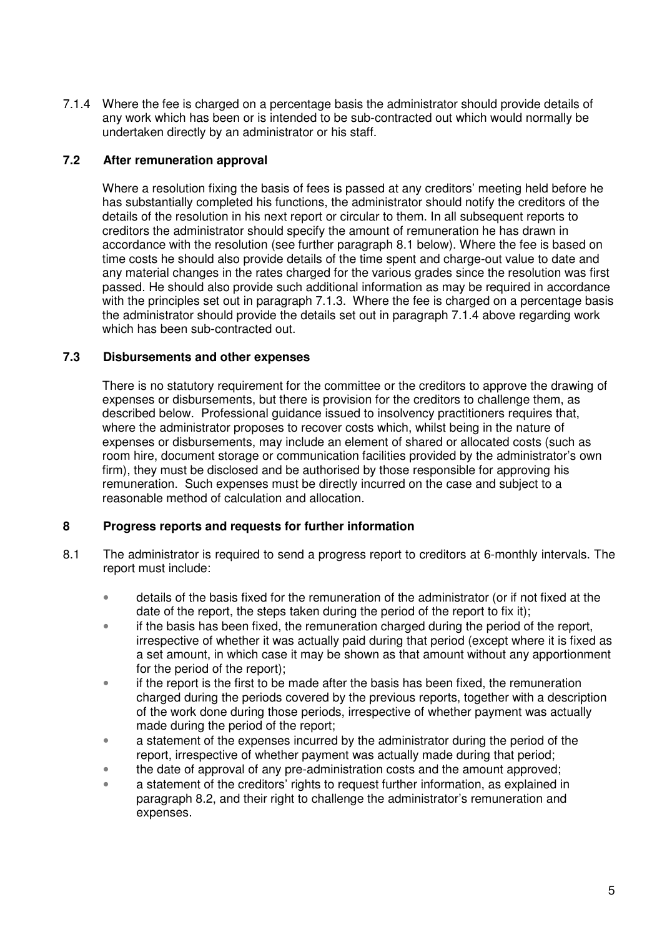7.1.4 Where the fee is charged on a percentage basis the administrator should provide details of any work which has been or is intended to be sub-contracted out which would normally be undertaken directly by an administrator or his staff.

## **7.2 After remuneration approval**

Where a resolution fixing the basis of fees is passed at any creditors' meeting held before he has substantially completed his functions, the administrator should notify the creditors of the details of the resolution in his next report or circular to them. In all subsequent reports to creditors the administrator should specify the amount of remuneration he has drawn in accordance with the resolution (see further paragraph 8.1 below). Where the fee is based on time costs he should also provide details of the time spent and charge-out value to date and any material changes in the rates charged for the various grades since the resolution was first passed. He should also provide such additional information as may be required in accordance with the principles set out in paragraph 7.1.3. Where the fee is charged on a percentage basis the administrator should provide the details set out in paragraph 7.1.4 above regarding work which has been sub-contracted out.

## **7.3 Disbursements and other expenses**

There is no statutory requirement for the committee or the creditors to approve the drawing of expenses or disbursements, but there is provision for the creditors to challenge them, as described below. Professional guidance issued to insolvency practitioners requires that, where the administrator proposes to recover costs which, whilst being in the nature of expenses or disbursements, may include an element of shared or allocated costs (such as room hire, document storage or communication facilities provided by the administrator's own firm), they must be disclosed and be authorised by those responsible for approving his remuneration. Such expenses must be directly incurred on the case and subject to a reasonable method of calculation and allocation.

## **8 Progress reports and requests for further information**

- 8.1 The administrator is required to send a progress report to creditors at 6-monthly intervals. The report must include:
	- details of the basis fixed for the remuneration of the administrator (or if not fixed at the date of the report, the steps taken during the period of the report to fix it);
	- if the basis has been fixed, the remuneration charged during the period of the report, irrespective of whether it was actually paid during that period (except where it is fixed as a set amount, in which case it may be shown as that amount without any apportionment for the period of the report);
	- if the report is the first to be made after the basis has been fixed, the remuneration charged during the periods covered by the previous reports, together with a description of the work done during those periods, irrespective of whether payment was actually made during the period of the report;
	- a statement of the expenses incurred by the administrator during the period of the report, irrespective of whether payment was actually made during that period;
	- the date of approval of any pre-administration costs and the amount approved;
	- a statement of the creditors' rights to request further information, as explained in paragraph 8.2, and their right to challenge the administrator's remuneration and expenses.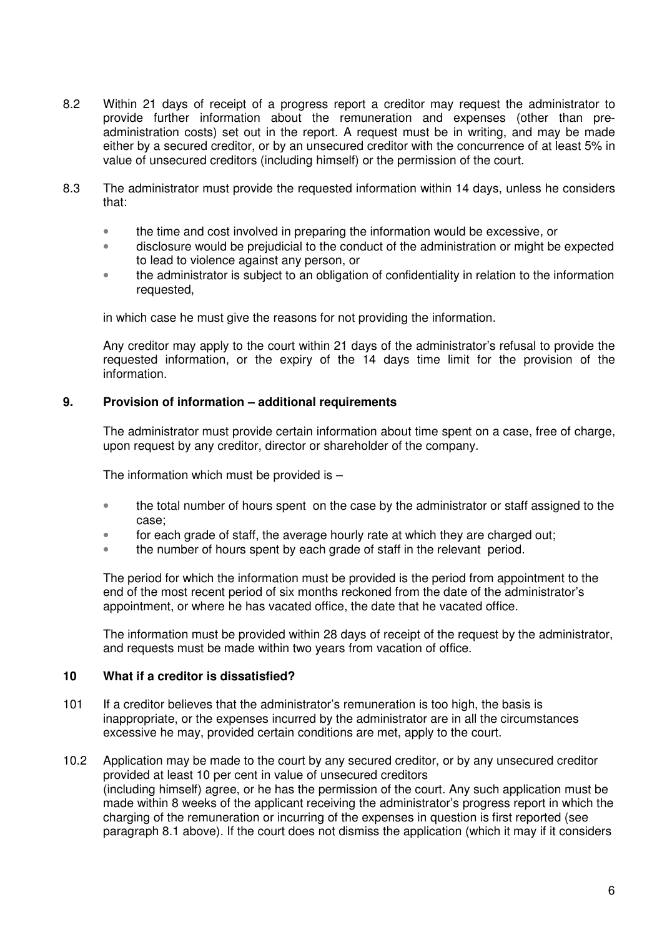- 8.2 Within 21 days of receipt of a progress report a creditor may request the administrator to provide further information about the remuneration and expenses (other than preadministration costs) set out in the report. A request must be in writing, and may be made either by a secured creditor, or by an unsecured creditor with the concurrence of at least 5% in value of unsecured creditors (including himself) or the permission of the court.
- 8.3 The administrator must provide the requested information within 14 days, unless he considers that:
	- the time and cost involved in preparing the information would be excessive, or
	- disclosure would be prejudicial to the conduct of the administration or might be expected to lead to violence against any person, or
	- the administrator is subject to an obligation of confidentiality in relation to the information requested,

in which case he must give the reasons for not providing the information.

Any creditor may apply to the court within 21 days of the administrator's refusal to provide the requested information, or the expiry of the 14 days time limit for the provision of the information.

#### **9. Provision of information – additional requirements**

The administrator must provide certain information about time spent on a case, free of charge, upon request by any creditor, director or shareholder of the company.

The information which must be provided is  $-$ 

- the total number of hours spent on the case by the administrator or staff assigned to the case;
- for each grade of staff, the average hourly rate at which they are charged out;
- the number of hours spent by each grade of staff in the relevant period.

The period for which the information must be provided is the period from appointment to the end of the most recent period of six months reckoned from the date of the administrator's appointment, or where he has vacated office, the date that he vacated office.

The information must be provided within 28 days of receipt of the request by the administrator, and requests must be made within two years from vacation of office.

## **10 What if a creditor is dissatisfied?**

- 101 If a creditor believes that the administrator's remuneration is too high, the basis is inappropriate, or the expenses incurred by the administrator are in all the circumstances excessive he may, provided certain conditions are met, apply to the court.
- 10.2 Application may be made to the court by any secured creditor, or by any unsecured creditor provided at least 10 per cent in value of unsecured creditors (including himself) agree, or he has the permission of the court. Any such application must be made within 8 weeks of the applicant receiving the administrator's progress report in which the charging of the remuneration or incurring of the expenses in question is first reported (see paragraph 8.1 above). If the court does not dismiss the application (which it may if it considers